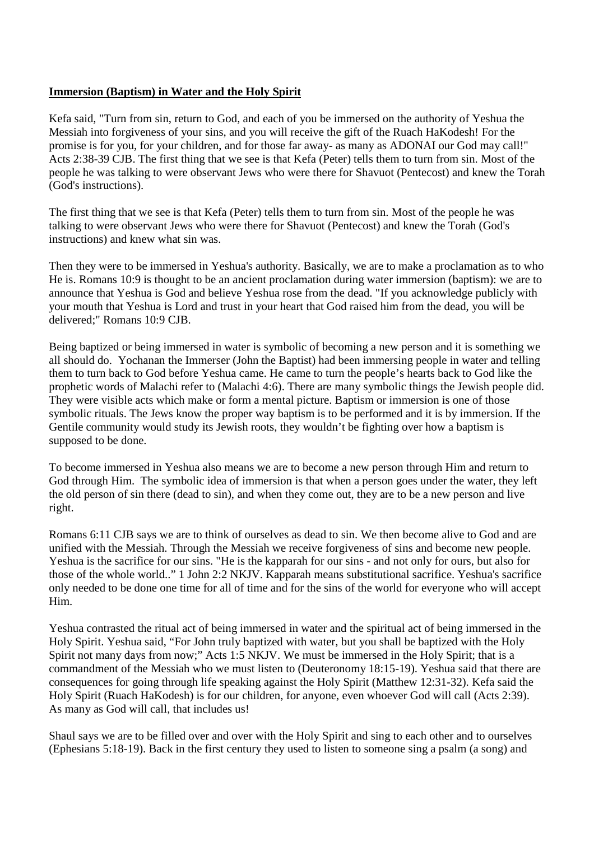## **Immersion (Baptism) in Water and the Holy Spirit**

Kefa said, "Turn from sin, return to God, and each of you be immersed on the authority of Yeshua the Messiah into forgiveness of your sins, and you will receive the gift of the Ruach HaKodesh! For the promise is for you, for your children, and for those far away- as many as ADONAI our God may call!" Acts 2:38-39 CJB. The first thing that we see is that Kefa (Peter) tells them to turn from sin. Most of the people he was talking to were observant Jews who were there for Shavuot (Pentecost) and knew the Torah (God's instructions).

The first thing that we see is that Kefa (Peter) tells them to turn from sin. Most of the people he was talking to were observant Jews who were there for Shavuot (Pentecost) and knew the Torah (God's instructions) and knew what sin was.

Then they were to be immersed in Yeshua's authority. Basically, we are to make a proclamation as to who He is. Romans 10:9 is thought to be an ancient proclamation during water immersion (baptism): we are to announce that Yeshua is God and believe Yeshua rose from the dead. "If you acknowledge publicly with your mouth that Yeshua is Lord and trust in your heart that God raised him from the dead, you will be delivered;" Romans 10:9 CJB.

Being baptized or being immersed in water is symbolic of becoming a new person and it is something we all should do. Yochanan the Immerser (John the Baptist) had been immersing people in water and telling them to turn back to God before Yeshua came. He came to turn the people's hearts back to God like the prophetic words of Malachi refer to (Malachi 4:6). There are many symbolic things the Jewish people did. They were visible acts which make or form a mental picture. Baptism or immersion is one of those symbolic rituals. The Jews know the proper way baptism is to be performed and it is by immersion. If the Gentile community would study its Jewish roots, they wouldn't be fighting over how a baptism is supposed to be done.

To become immersed in Yeshua also means we are to become a new person through Him and return to God through Him. The symbolic idea of immersion is that when a person goes under the water, they left the old person of sin there (dead to sin), and when they come out, they are to be a new person and live right.

Romans 6:11 CJB says we are to think of ourselves as dead to sin. We then become alive to God and are unified with the Messiah. Through the Messiah we receive forgiveness of sins and become new people. Yeshua is the sacrifice for our sins. "He is the kapparah for our sins - and not only for ours, but also for those of the whole world.." 1 John 2:2 NKJV. Kapparah means substitutional sacrifice. Yeshua's sacrifice only needed to be done one time for all of time and for the sins of the world for everyone who will accept Him.

Yeshua contrasted the ritual act of being immersed in water and the spiritual act of being immersed in the Holy Spirit. Yeshua said, "For John truly baptized with water, but you shall be baptized with the Holy Spirit not many days from now;" Acts 1:5 NKJV. We must be immersed in the Holy Spirit; that is a commandment of the Messiah who we must listen to (Deuteronomy 18:15-19). Yeshua said that there are consequences for going through life speaking against the Holy Spirit (Matthew 12:31-32). Kefa said the Holy Spirit (Ruach HaKodesh) is for our children, for anyone, even whoever God will call (Acts 2:39). As many as God will call, that includes us!

Shaul says we are to be filled over and over with the Holy Spirit and sing to each other and to ourselves (Ephesians 5:18-19). Back in the first century they used to listen to someone sing a psalm (a song) and